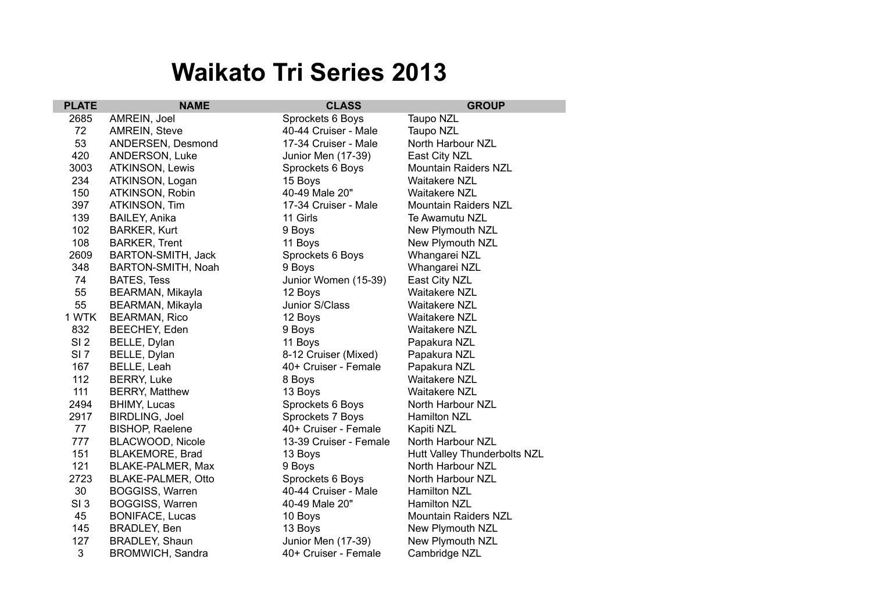## **Waikato Tri Series 2013**

| <b>PLATE</b>    | <b>NAME</b>               | <b>CLASS</b>           | <b>GROUP</b>                 |
|-----------------|---------------------------|------------------------|------------------------------|
| 2685            | AMREIN, Joel              | Sprockets 6 Boys       | Taupo NZL                    |
| 72              | AMREIN, Steve             | 40-44 Cruiser - Male   | Taupo NZL                    |
| 53              | ANDERSEN, Desmond         | 17-34 Cruiser - Male   | North Harbour NZL            |
| 420             | ANDERSON, Luke            | Junior Men (17-39)     | East City NZL                |
| 3003            | ATKINSON, Lewis           | Sprockets 6 Boys       | Mountain Raiders NZL         |
| 234             | ATKINSON, Logan           | 15 Boys                | <b>Waitakere NZL</b>         |
| 150             | ATKINSON, Robin           | 40-49 Male 20"         | <b>Waitakere NZL</b>         |
| 397             | ATKINSON, Tim             | 17-34 Cruiser - Male   | <b>Mountain Raiders NZL</b>  |
| 139             | <b>BAILEY, Anika</b>      | 11 Girls               | Te Awamutu NZL               |
| 102             | <b>BARKER, Kurt</b>       | 9 Boys                 | New Plymouth NZL             |
| 108             | <b>BARKER, Trent</b>      | 11 Boys                | New Plymouth NZL             |
| 2609            | BARTON-SMITH, Jack        | Sprockets 6 Boys       | Whangarei NZL                |
| 348             | BARTON-SMITH, Noah        | 9 Boys                 | Whangarei NZL                |
| 74              | <b>BATES, Tess</b>        | Junior Women (15-39)   | East City NZL                |
| 55              | BEARMAN, Mikayla          | 12 Boys                | Waitakere NZL                |
| 55              | BEARMAN, Mikayla          | Junior S/Class         | Waitakere NZL                |
| 1 WTK           | <b>BEARMAN, Rico</b>      | 12 Boys                | Waitakere NZL                |
| 832             | BEECHEY, Eden             | 9 Boys                 | <b>Waitakere NZL</b>         |
| SI <sub>2</sub> | BELLE, Dylan              | 11 Boys                | Papakura NZL                 |
| SI <sub>7</sub> | BELLE, Dylan              | 8-12 Cruiser (Mixed)   | Papakura NZL                 |
| 167             | BELLE, Leah               | 40+ Cruiser - Female   | Papakura NZL                 |
| 112             | <b>BERRY, Luke</b>        | 8 Boys                 | <b>Waitakere NZL</b>         |
| 111             | <b>BERRY, Matthew</b>     | 13 Boys                | <b>Waitakere NZL</b>         |
| 2494            | <b>BHIMY, Lucas</b>       | Sprockets 6 Boys       | North Harbour NZL            |
| 2917            | <b>BIRDLING, Joel</b>     | Sprockets 7 Boys       | Hamilton NZL                 |
| 77              | <b>BISHOP, Raelene</b>    | 40+ Cruiser - Female   | Kapiti NZL                   |
| 777             | BLACWOOD, Nicole          | 13-39 Cruiser - Female | North Harbour NZL            |
| 151             | BLAKEMORE, Brad           | 13 Boys                | Hutt Valley Thunderbolts NZL |
| 121             | BLAKE-PALMER, Max         | 9 Boys                 | North Harbour NZL            |
| 2723            | <b>BLAKE-PALMER, Otto</b> | Sprockets 6 Boys       | North Harbour NZL            |
| 30              | <b>BOGGISS, Warren</b>    | 40-44 Cruiser - Male   | <b>Hamilton NZL</b>          |
| SI <sub>3</sub> | <b>BOGGISS, Warren</b>    | 40-49 Male 20"         | Hamilton NZL                 |
| 45              | <b>BONIFACE, Lucas</b>    | 10 Boys                | <b>Mountain Raiders NZL</b>  |
| 145             | BRADLEY, Ben              | 13 Boys                | New Plymouth NZL             |
| 127             | BRADLEY, Shaun            | Junior Men (17-39)     | New Plymouth NZL             |
| 3               | <b>BROMWICH, Sandra</b>   | 40+ Cruiser - Female   | Cambridge NZL                |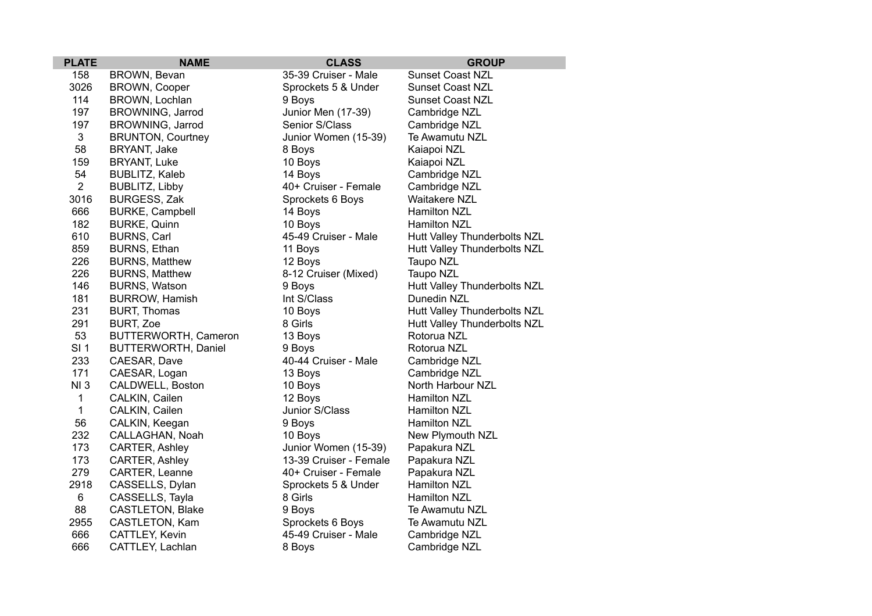| <b>PLATE</b>    | <b>NAME</b>                | <b>CLASS</b>           | <b>GROUP</b>                 |
|-----------------|----------------------------|------------------------|------------------------------|
| 158             | BROWN, Bevan               | 35-39 Cruiser - Male   | <b>Sunset Coast NZL</b>      |
| 3026            | <b>BROWN, Cooper</b>       | Sprockets 5 & Under    | <b>Sunset Coast NZL</b>      |
| 114             | BROWN, Lochlan             | 9 Boys                 | <b>Sunset Coast NZL</b>      |
| 197             | BROWNING, Jarrod           | Junior Men (17-39)     | Cambridge NZL                |
| 197             | BROWNING, Jarrod           | Senior S/Class         | Cambridge NZL                |
| 3               | <b>BRUNTON, Courtney</b>   | Junior Women (15-39)   | Te Awamutu NZL               |
| 58              | BRYANT, Jake               | 8 Boys                 | Kaiapoi NZL                  |
| 159             | <b>BRYANT, Luke</b>        | 10 Boys                | Kaiapoi NZL                  |
| 54              | BUBLITZ, Kaleb             | 14 Boys                | Cambridge NZL                |
| $\overline{2}$  | BUBLITZ, Libby             | 40+ Cruiser - Female   | Cambridge NZL                |
| 3016            | <b>BURGESS, Zak</b>        | Sprockets 6 Boys       | <b>Waitakere NZL</b>         |
| 666             | <b>BURKE, Campbell</b>     | 14 Boys                | <b>Hamilton NZL</b>          |
| 182             | <b>BURKE, Quinn</b>        | 10 Boys                | Hamilton NZL                 |
| 610             | <b>BURNS, Carl</b>         | 45-49 Cruiser - Male   | Hutt Valley Thunderbolts NZL |
| 859             | BURNS, Ethan               | 11 Boys                | Hutt Valley Thunderbolts NZL |
| 226             | <b>BURNS, Matthew</b>      | 12 Boys                | Taupo NZL                    |
| 226             | <b>BURNS, Matthew</b>      | 8-12 Cruiser (Mixed)   | Taupo NZL                    |
| 146             | <b>BURNS, Watson</b>       | 9 Boys                 | Hutt Valley Thunderbolts NZL |
| 181             | <b>BURROW, Hamish</b>      | Int S/Class            | Dunedin NZL                  |
| 231             | <b>BURT, Thomas</b>        | 10 Boys                | Hutt Valley Thunderbolts NZL |
| 291             | <b>BURT, Zoe</b>           | 8 Girls                | Hutt Valley Thunderbolts NZL |
| 53              | BUTTERWORTH, Cameron       | 13 Boys                | Rotorua NZL                  |
| SI <sub>1</sub> | <b>BUTTERWORTH, Daniel</b> | 9 Boys                 | Rotorua NZL                  |
| 233             | CAESAR, Dave               | 40-44 Cruiser - Male   | Cambridge NZL                |
| 171             | CAESAR, Logan              | 13 Boys                | Cambridge NZL                |
| NI3             | CALDWELL, Boston           | 10 Boys                | North Harbour NZL            |
| $\mathbf{1}$    | CALKIN, Cailen             | 12 Boys                | <b>Hamilton NZL</b>          |
| $\mathbf{1}$    | CALKIN, Cailen             | Junior S/Class         | Hamilton NZL                 |
| 56              | CALKIN, Keegan             | 9 Boys                 | Hamilton NZL                 |
| 232             | CALLAGHAN, Noah            | 10 Boys                | New Plymouth NZL             |
| 173             | CARTER, Ashley             | Junior Women (15-39)   | Papakura NZL                 |
| 173             | CARTER, Ashley             | 13-39 Cruiser - Female | Papakura NZL                 |
| 279             | CARTER, Leanne             | 40+ Cruiser - Female   | Papakura NZL                 |
| 2918            | CASSELLS, Dylan            | Sprockets 5 & Under    | Hamilton NZL                 |
| 6               | CASSELLS, Tayla            | 8 Girls                | Hamilton NZL                 |
| 88              | CASTLETON, Blake           | 9 Boys                 | Te Awamutu NZL               |
| 2955            | CASTLETON, Kam             | Sprockets 6 Boys       | Te Awamutu NZL               |
| 666             | CATTLEY, Kevin             | 45-49 Cruiser - Male   | Cambridge NZL                |
| 666             | CATTLEY, Lachlan           | 8 Boys                 | Cambridge NZL                |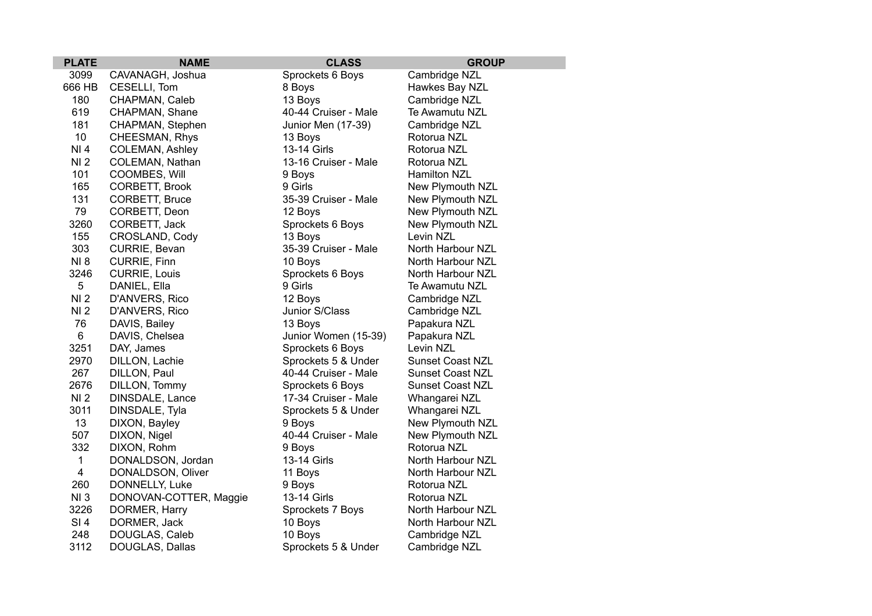| <b>PLATE</b>    | <b>NAME</b>            | <b>CLASS</b>         | <b>GROUP</b>            |
|-----------------|------------------------|----------------------|-------------------------|
| 3099            | CAVANAGH, Joshua       | Sprockets 6 Boys     | Cambridge NZL           |
| 666 HB          | CESELLI, Tom           | 8 Boys               | Hawkes Bay NZL          |
| 180             | CHAPMAN, Caleb         | 13 Boys              | Cambridge NZL           |
| 619             | CHAPMAN, Shane         | 40-44 Cruiser - Male | Te Awamutu NZL          |
| 181             | CHAPMAN, Stephen       | Junior Men (17-39)   | Cambridge NZL           |
| 10              | CHEESMAN, Rhys         | 13 Boys              | Rotorua NZL             |
| NI 4            | <b>COLEMAN, Ashley</b> | 13-14 Girls          | Rotorua NZL             |
| NI <sub>2</sub> | COLEMAN, Nathan        | 13-16 Cruiser - Male | Rotorua NZL             |
| 101             | COOMBES, Will          | 9 Boys               | Hamilton NZL            |
| 165             | CORBETT, Brook         | 9 Girls              | New Plymouth NZL        |
| 131             | CORBETT, Bruce         | 35-39 Cruiser - Male | New Plymouth NZL        |
| 79              | CORBETT, Deon          | 12 Boys              | New Plymouth NZL        |
| 3260            | CORBETT, Jack          | Sprockets 6 Boys     | New Plymouth NZL        |
| 155             | CROSLAND, Cody         | 13 Boys              | Levin NZL               |
| 303             | CURRIE, Bevan          | 35-39 Cruiser - Male | North Harbour NZL       |
| <b>NI8</b>      | CURRIE, Finn           | 10 Boys              | North Harbour NZL       |
| 3246            | <b>CURRIE, Louis</b>   | Sprockets 6 Boys     | North Harbour NZL       |
| 5               | DANIEL, Ella           | 9 Girls              | Te Awamutu NZL          |
| NI <sub>2</sub> | D'ANVERS, Rico         | 12 Boys              | Cambridge NZL           |
| NI <sub>2</sub> | D'ANVERS, Rico         | Junior S/Class       | Cambridge NZL           |
| 76              | DAVIS, Bailey          | 13 Boys              | Papakura NZL            |
| 6               | DAVIS, Chelsea         | Junior Women (15-39) | Papakura NZL            |
| 3251            | DAY, James             | Sprockets 6 Boys     | Levin NZL               |
| 2970            | DILLON, Lachie         | Sprockets 5 & Under  | <b>Sunset Coast NZL</b> |
| 267             | DILLON, Paul           | 40-44 Cruiser - Male | <b>Sunset Coast NZL</b> |
| 2676            | DILLON, Tommy          | Sprockets 6 Boys     | <b>Sunset Coast NZL</b> |
| NI <sub>2</sub> | DINSDALE, Lance        | 17-34 Cruiser - Male | Whangarei NZL           |
| 3011            | DINSDALE, Tyla         | Sprockets 5 & Under  | Whangarei NZL           |
| 13              | DIXON, Bayley          | 9 Boys               | New Plymouth NZL        |
| 507             | DIXON, Nigel           | 40-44 Cruiser - Male | New Plymouth NZL        |
| 332             | DIXON, Rohm            | 9 Boys               | Rotorua NZL             |
| $\mathbf{1}$    | DONALDSON, Jordan      | 13-14 Girls          | North Harbour NZL       |
| $\overline{4}$  | DONALDSON, Oliver      | 11 Boys              | North Harbour NZL       |
| 260             | DONNELLY, Luke         | 9 Boys               | Rotorua NZL             |
| NI3             | DONOVAN-COTTER, Maggie | 13-14 Girls          | Rotorua NZL             |
| 3226            | DORMER, Harry          | Sprockets 7 Boys     | North Harbour NZL       |
| SI <sub>4</sub> | DORMER, Jack           | 10 Boys              | North Harbour NZL       |
| 248             | DOUGLAS, Caleb         | 10 Boys              | Cambridge NZL           |
| 3112            | DOUGLAS, Dallas        | Sprockets 5 & Under  | Cambridge NZL           |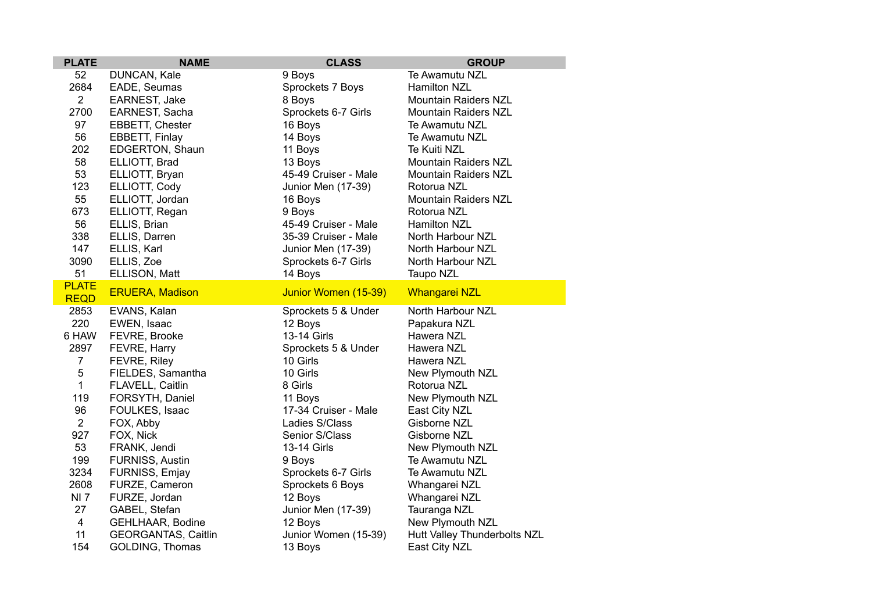| <b>PLATE</b>   | <b>NAME</b>                | <b>CLASS</b>         | <b>GROUP</b>                 |
|----------------|----------------------------|----------------------|------------------------------|
| 52             | DUNCAN, Kale               | 9 Boys               | Te Awamutu NZL               |
| 2684           | EADE, Seumas               | Sprockets 7 Boys     | <b>Hamilton NZL</b>          |
| $\overline{2}$ | EARNEST, Jake              | 8 Boys               | <b>Mountain Raiders NZL</b>  |
| 2700           | EARNEST, Sacha             | Sprockets 6-7 Girls  | <b>Mountain Raiders NZL</b>  |
| 97             | EBBETT, Chester            | 16 Boys              | Te Awamutu NZL               |
| 56             | EBBETT, Finlay             | 14 Boys              | Te Awamutu NZL               |
| 202            | EDGERTON, Shaun            | 11 Boys              | Te Kuiti NZL                 |
| 58             | ELLIOTT, Brad              | 13 Boys              | Mountain Raiders NZL         |
| 53             | ELLIOTT, Bryan             | 45-49 Cruiser - Male | <b>Mountain Raiders NZL</b>  |
| 123            | ELLIOTT, Cody              | Junior Men (17-39)   | Rotorua NZL                  |
| 55             | ELLIOTT, Jordan            | 16 Boys              | Mountain Raiders NZL         |
| 673            | ELLIOTT, Regan             | 9 Boys               | Rotorua NZL                  |
| 56             | ELLIS, Brian               | 45-49 Cruiser - Male | <b>Hamilton NZL</b>          |
| 338            | ELLIS, Darren              | 35-39 Cruiser - Male | North Harbour NZL            |
| 147            | ELLIS, Karl                | Junior Men (17-39)   | North Harbour NZL            |
| 3090           | ELLIS, Zoe                 | Sprockets 6-7 Girls  | North Harbour NZL            |
| 51             | ELLISON, Matt              | 14 Boys              | Taupo NZL                    |
| <b>PLATE</b>   | <b>ERUERA, Madison</b>     | Junior Women (15-39) | <b>Whangarei NZL</b>         |
| <b>REQD</b>    |                            |                      |                              |
| 2853           | EVANS, Kalan               | Sprockets 5 & Under  | North Harbour NZL            |
| 220            | EWEN, Isaac                | 12 Boys              | Papakura NZL                 |
| 6 HAW          | FEVRE, Brooke              | 13-14 Girls          | Hawera NZL                   |
| 2897           | FEVRE, Harry               | Sprockets 5 & Under  | Hawera NZL                   |
| $\overline{7}$ | FEVRE, Riley               | 10 Girls             | Hawera NZL                   |
| 5              | FIELDES, Samantha          | 10 Girls             | New Plymouth NZL             |
| 1              | FLAVELL, Caitlin           | 8 Girls              | Rotorua NZL                  |
| 119            | FORSYTH, Daniel            | 11 Boys              | New Plymouth NZL             |
| 96             | FOULKES, Isaac             | 17-34 Cruiser - Male | East City NZL                |
| $\overline{2}$ | FOX, Abby                  | Ladies S/Class       | Gisborne NZL                 |
| 927            | FOX, Nick                  | Senior S/Class       | Gisborne NZL                 |
| 53             | FRANK, Jendi               | 13-14 Girls          | New Plymouth NZL             |
| 199            | FURNISS, Austin            | 9 Boys               | Te Awamutu NZL               |
| 3234           | FURNISS, Emjay             | Sprockets 6-7 Girls  | Te Awamutu NZL               |
| 2608           | FURZE, Cameron             | Sprockets 6 Boys     | Whangarei NZL                |
| <b>NI7</b>     | FURZE, Jordan              | 12 Boys              | Whangarei NZL                |
| 27             | GABEL, Stefan              | Junior Men (17-39)   | Tauranga NZL                 |
| 4              | GEHLHAAR, Bodine           | 12 Boys              | New Plymouth NZL             |
| 11             | <b>GEORGANTAS, Caitlin</b> | Junior Women (15-39) | Hutt Valley Thunderbolts NZL |
| 154            | <b>GOLDING, Thomas</b>     | 13 Boys              | East City NZL                |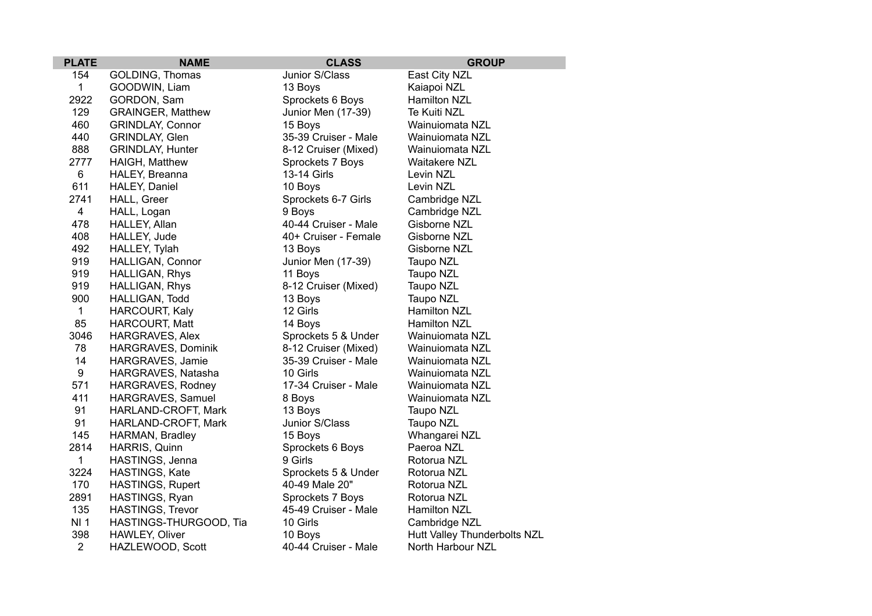| <b>PLATE</b>   | <b>NAME</b>              | <b>CLASS</b>         | <b>GROUP</b>                 |
|----------------|--------------------------|----------------------|------------------------------|
| 154            | GOLDING, Thomas          | Junior S/Class       | East City NZL                |
| 1              | GOODWIN, Liam            | 13 Boys              | Kaiapoi NZL                  |
| 2922           | GORDON, Sam              | Sprockets 6 Boys     | Hamilton NZL                 |
| 129            | <b>GRAINGER, Matthew</b> | Junior Men (17-39)   | Te Kuiti NZL                 |
| 460            | <b>GRINDLAY, Connor</b>  | 15 Boys              | Wainuiomata NZL              |
| 440            | GRINDLAY, Glen           | 35-39 Cruiser - Male | Wainuiomata NZL              |
| 888            | <b>GRINDLAY, Hunter</b>  | 8-12 Cruiser (Mixed) | Wainuiomata NZL              |
| 2777           | HAIGH, Matthew           | Sprockets 7 Boys     | <b>Waitakere NZL</b>         |
| 6              | HALEY, Breanna           | 13-14 Girls          | Levin NZL                    |
| 611            | HALEY, Daniel            | 10 Boys              | Levin NZL                    |
| 2741           | HALL, Greer              | Sprockets 6-7 Girls  | Cambridge NZL                |
| $\overline{4}$ | HALL, Logan              | 9 Boys               | Cambridge NZL                |
| 478            | HALLEY, Allan            | 40-44 Cruiser - Male | Gisborne NZL                 |
| 408            | HALLEY, Jude             | 40+ Cruiser - Female | Gisborne NZL                 |
| 492            | HALLEY, Tylah            | 13 Boys              | Gisborne NZL                 |
| 919            | HALLIGAN, Connor         | Junior Men (17-39)   | Taupo NZL                    |
| 919            | HALLIGAN, Rhys           | 11 Boys              | Taupo NZL                    |
| 919            | HALLIGAN, Rhys           | 8-12 Cruiser (Mixed) | Taupo NZL                    |
| 900            | HALLIGAN, Todd           | 13 Boys              | Taupo NZL                    |
| 1              | <b>HARCOURT, Kaly</b>    | 12 Girls             | <b>Hamilton NZL</b>          |
| 85             | HARCOURT, Matt           | 14 Boys              | <b>Hamilton NZL</b>          |
| 3046           | HARGRAVES, Alex          | Sprockets 5 & Under  | Wainuiomata NZL              |
| 78             | HARGRAVES, Dominik       | 8-12 Cruiser (Mixed) | Wainuiomata NZL              |
| 14             | HARGRAVES, Jamie         | 35-39 Cruiser - Male | Wainuiomata NZL              |
| 9              | HARGRAVES, Natasha       | 10 Girls             | Wainuiomata NZL              |
| 571            | HARGRAVES, Rodney        | 17-34 Cruiser - Male | Wainuiomata NZL              |
| 411            | HARGRAVES, Samuel        | 8 Boys               | Wainuiomata NZL              |
| 91             | HARLAND-CROFT, Mark      | 13 Boys              | Taupo NZL                    |
| 91             | HARLAND-CROFT, Mark      | Junior S/Class       | Taupo NZL                    |
| 145            | HARMAN, Bradley          | 15 Boys              | Whangarei NZL                |
| 2814           | HARRIS, Quinn            | Sprockets 6 Boys     | Paeroa NZL                   |
| 1              | HASTINGS, Jenna          | 9 Girls              | Rotorua NZL                  |
| 3224           | HASTINGS, Kate           | Sprockets 5 & Under  | Rotorua NZL                  |
| 170            | <b>HASTINGS, Rupert</b>  | 40-49 Male 20"       | Rotorua NZL                  |
| 2891           | HASTINGS, Ryan           | Sprockets 7 Boys     | Rotorua NZL                  |
| 135            | <b>HASTINGS, Trevor</b>  | 45-49 Cruiser - Male | Hamilton NZL                 |
| <b>NI1</b>     | HASTINGS-THURGOOD, Tia   | 10 Girls             | Cambridge NZL                |
| 398            | HAWLEY, Oliver           | 10 Boys              | Hutt Valley Thunderbolts NZL |
| $\overline{2}$ | HAZLEWOOD, Scott         | 40-44 Cruiser - Male | North Harbour NZL            |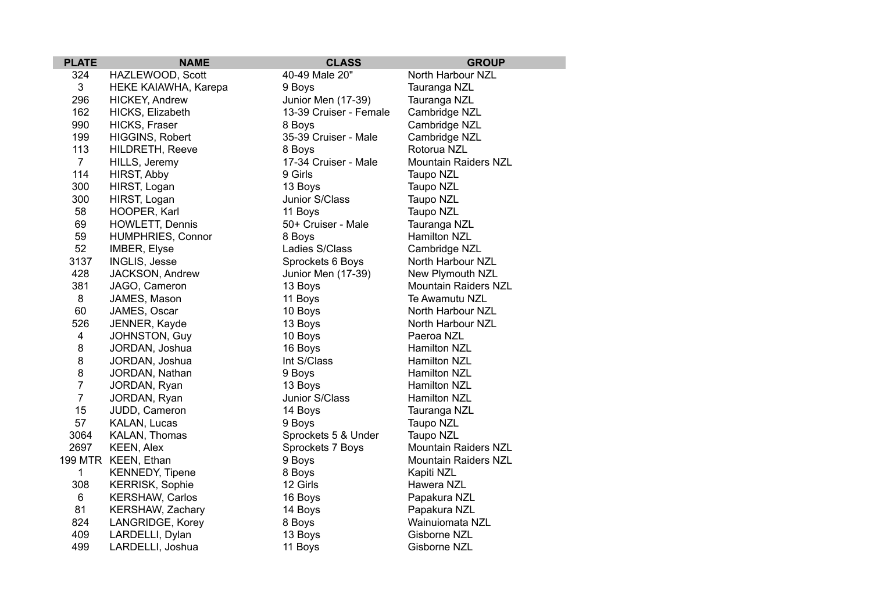| <b>PLATE</b>   | <b>NAME</b>              | <b>CLASS</b>           | <b>GROUP</b>                |
|----------------|--------------------------|------------------------|-----------------------------|
| 324            | HAZLEWOOD, Scott         | 40-49 Male 20"         | North Harbour NZL           |
| 3              | HEKE KAIAWHA, Karepa     | 9 Boys                 | Tauranga NZL                |
| 296            | HICKEY, Andrew           | Junior Men (17-39)     | Tauranga NZL                |
| 162            | HICKS, Elizabeth         | 13-39 Cruiser - Female | Cambridge NZL               |
| 990            | HICKS, Fraser            | 8 Boys                 | Cambridge NZL               |
| 199            | HIGGINS, Robert          | 35-39 Cruiser - Male   | Cambridge NZL               |
| 113            | HILDRETH, Reeve          | 8 Boys                 | Rotorua NZL                 |
| $7^{\circ}$    | HILLS, Jeremy            | 17-34 Cruiser - Male   | <b>Mountain Raiders NZL</b> |
| 114            | HIRST, Abby              | 9 Girls                | Taupo NZL                   |
| 300            | HIRST, Logan             | 13 Boys                | Taupo NZL                   |
| 300            | HIRST, Logan             | Junior S/Class         | Taupo NZL                   |
| 58             | HOOPER, Karl             | 11 Boys                | Taupo NZL                   |
| 69             | HOWLETT, Dennis          | 50+ Cruiser - Male     | Tauranga NZL                |
| 59             | <b>HUMPHRIES, Connor</b> | 8 Boys                 | Hamilton NZL                |
| 52             | IMBER, Elyse             | Ladies S/Class         | Cambridge NZL               |
| 3137           | INGLIS, Jesse            | Sprockets 6 Boys       | North Harbour NZL           |
| 428            | JACKSON, Andrew          | Junior Men (17-39)     | New Plymouth NZL            |
| 381            | JAGO, Cameron            | 13 Boys                | <b>Mountain Raiders NZL</b> |
| 8              | JAMES, Mason             | 11 Boys                | Te Awamutu NZL              |
| 60             | JAMES, Oscar             | 10 Boys                | North Harbour NZL           |
| 526            | JENNER, Kayde            | 13 Boys                | North Harbour NZL           |
| 4              | JOHNSTON, Guy            | 10 Boys                | Paeroa NZL                  |
| 8              | JORDAN, Joshua           | 16 Boys                | Hamilton NZL                |
| 8              | JORDAN, Joshua           | Int S/Class            | <b>Hamilton NZL</b>         |
| 8              | JORDAN, Nathan           | 9 Boys                 | <b>Hamilton NZL</b>         |
| $\overline{7}$ | JORDAN, Ryan             | 13 Boys                | <b>Hamilton NZL</b>         |
| $\overline{7}$ | JORDAN, Ryan             | Junior S/Class         | <b>Hamilton NZL</b>         |
| 15             | JUDD, Cameron            | 14 Boys                | Tauranga NZL                |
| 57             | KALAN, Lucas             | 9 Boys                 | Taupo NZL                   |
| 3064           | KALAN, Thomas            | Sprockets 5 & Under    | Taupo NZL                   |
| 2697           | <b>KEEN, Alex</b>        | Sprockets 7 Boys       | <b>Mountain Raiders NZL</b> |
|                | 199 MTR KEEN, Ethan      | 9 Boys                 | <b>Mountain Raiders NZL</b> |
| $\mathbf{1}$   | <b>KENNEDY, Tipene</b>   | 8 Boys                 | Kapiti NZL                  |
| 308            | <b>KERRISK, Sophie</b>   | 12 Girls               | Hawera NZL                  |
| 6              | <b>KERSHAW, Carlos</b>   | 16 Boys                | Papakura NZL                |
| 81             | KERSHAW, Zachary         | 14 Boys                | Papakura NZL                |
| 824            | LANGRIDGE, Korey         | 8 Boys                 | Wainuiomata NZL             |
| 409            | LARDELLI, Dylan          | 13 Boys                | Gisborne NZL                |
| 499            | LARDELLI, Joshua         | 11 Boys                | Gisborne NZL                |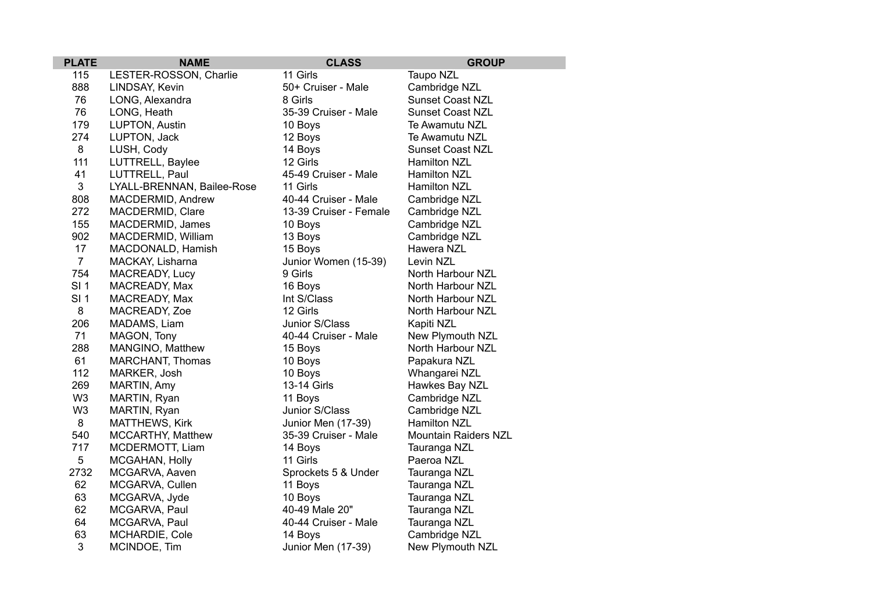| <b>PLATE</b>    | <b>NAME</b>                | <b>CLASS</b>           | <b>GROUP</b>                |
|-----------------|----------------------------|------------------------|-----------------------------|
| 115             | LESTER-ROSSON, Charlie     | 11 Girls               | Taupo NZL                   |
| 888             | LINDSAY, Kevin             | 50+ Cruiser - Male     | Cambridge NZL               |
| 76              | LONG, Alexandra            | 8 Girls                | <b>Sunset Coast NZL</b>     |
| 76              | LONG, Heath                | 35-39 Cruiser - Male   | <b>Sunset Coast NZL</b>     |
| 179             | LUPTON, Austin             | 10 Boys                | Te Awamutu NZL              |
| 274             | LUPTON, Jack               | 12 Boys                | Te Awamutu NZL              |
| $\bf 8$         | LUSH, Cody                 | 14 Boys                | <b>Sunset Coast NZL</b>     |
| 111             | LUTTRELL, Baylee           | 12 Girls               | Hamilton NZL                |
| 41              | LUTTRELL, Paul             | 45-49 Cruiser - Male   | Hamilton NZL                |
| 3               | LYALL-BRENNAN, Bailee-Rose | 11 Girls               | Hamilton NZL                |
| 808             | MACDERMID, Andrew          | 40-44 Cruiser - Male   | Cambridge NZL               |
| 272             | MACDERMID, Clare           | 13-39 Cruiser - Female | Cambridge NZL               |
| 155             | MACDERMID, James           | 10 Boys                | Cambridge NZL               |
| 902             | MACDERMID, William         | 13 Boys                | Cambridge NZL               |
| 17              | MACDONALD, Hamish          | 15 Boys                | Hawera NZL                  |
| $\overline{7}$  | MACKAY, Lisharna           | Junior Women (15-39)   | Levin NZL                   |
| 754             | MACREADY, Lucy             | 9 Girls                | North Harbour NZL           |
| SI <sub>1</sub> | MACREADY, Max              | 16 Boys                | North Harbour NZL           |
| SI <sub>1</sub> | MACREADY, Max              | Int S/Class            | North Harbour NZL           |
| 8               | MACREADY, Zoe              | 12 Girls               | North Harbour NZL           |
| 206             | MADAMS, Liam               | Junior S/Class         | Kapiti NZL                  |
| 71              | MAGON, Tony                | 40-44 Cruiser - Male   | New Plymouth NZL            |
| 288             | MANGINO, Matthew           | 15 Boys                | North Harbour NZL           |
| 61              | MARCHANT, Thomas           | 10 Boys                | Papakura NZL                |
| 112             | MARKER, Josh               | 10 Boys                | Whangarei NZL               |
| 269             | MARTIN, Amy                | 13-14 Girls            | Hawkes Bay NZL              |
| W <sub>3</sub>  | MARTIN, Ryan               | 11 Boys                | Cambridge NZL               |
| W <sub>3</sub>  | MARTIN, Ryan               | Junior S/Class         | Cambridge NZL               |
| 8               | MATTHEWS, Kirk             | Junior Men (17-39)     | <b>Hamilton NZL</b>         |
| 540             | MCCARTHY, Matthew          | 35-39 Cruiser - Male   | <b>Mountain Raiders NZL</b> |
| 717             | MCDERMOTT, Liam            | 14 Boys                | Tauranga NZL                |
| 5               | MCGAHAN, Holly             | 11 Girls               | Paeroa NZL                  |
| 2732            | MCGARVA, Aaven             | Sprockets 5 & Under    | Tauranga NZL                |
| 62              | MCGARVA, Cullen            | 11 Boys                | Tauranga NZL                |
| 63              | MCGARVA, Jyde              | 10 Boys                | Tauranga NZL                |
| 62              | MCGARVA, Paul              | 40-49 Male 20"         | Tauranga NZL                |
| 64              | MCGARVA, Paul              | 40-44 Cruiser - Male   | Tauranga NZL                |
| 63              | MCHARDIE, Cole             | 14 Boys                | Cambridge NZL               |
| 3               | MCINDOE, Tim               | Junior Men (17-39)     | New Plymouth NZL            |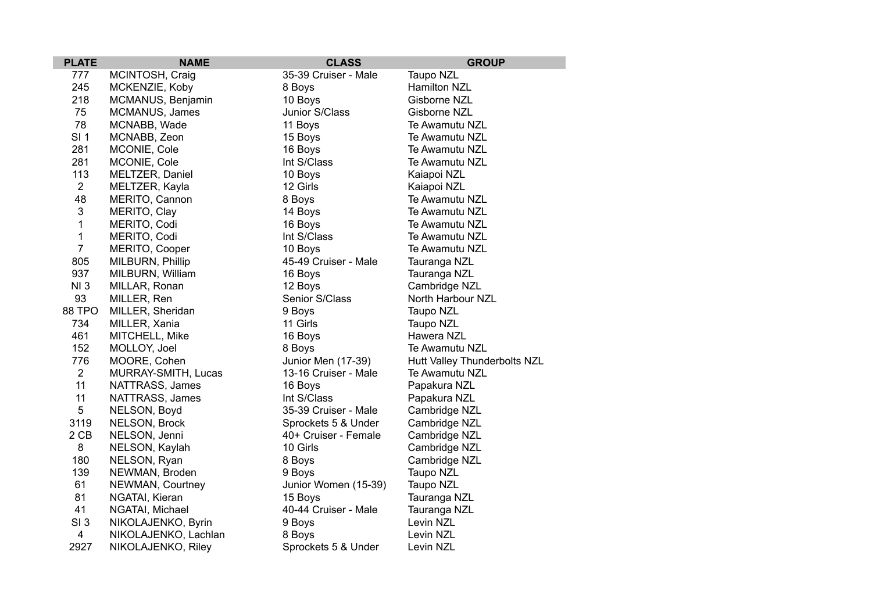| <b>PLATE</b>    | <b>NAME</b>          | <b>CLASS</b>         | <b>GROUP</b>                 |
|-----------------|----------------------|----------------------|------------------------------|
| 777             | MCINTOSH, Craig      | 35-39 Cruiser - Male | Taupo NZL                    |
| 245             | MCKENZIE, Koby       | 8 Boys               | Hamilton NZL                 |
| 218             | MCMANUS, Benjamin    | 10 Boys              | Gisborne NZL                 |
| 75              | MCMANUS, James       | Junior S/Class       | Gisborne NZL                 |
| 78              | MCNABB, Wade         | 11 Boys              | Te Awamutu NZL               |
| SI <sub>1</sub> | MCNABB, Zeon         | 15 Boys              | Te Awamutu NZL               |
| 281             | MCONIE, Cole         | 16 Boys              | Te Awamutu NZL               |
| 281             | MCONIE, Cole         | Int S/Class          | Te Awamutu NZL               |
| 113             | MELTZER, Daniel      | 10 Boys              | Kaiapoi NZL                  |
| $\overline{2}$  | MELTZER, Kayla       | 12 Girls             | Kaiapoi NZL                  |
| 48              | MERITO, Cannon       | 8 Boys               | Te Awamutu NZL               |
| $\mathfrak{B}$  | MERITO, Clay         | 14 Boys              | Te Awamutu NZL               |
| $\mathbf{1}$    | MERITO, Codi         | 16 Boys              | Te Awamutu NZL               |
| $\mathbf{1}$    | MERITO, Codi         | Int S/Class          | Te Awamutu NZL               |
| $\overline{7}$  | MERITO, Cooper       | 10 Boys              | Te Awamutu NZL               |
| 805             | MILBURN, Phillip     | 45-49 Cruiser - Male | Tauranga NZL                 |
| 937             | MILBURN, William     | 16 Boys              | Tauranga NZL                 |
| NI3             | MILLAR, Ronan        | 12 Boys              | Cambridge NZL                |
| 93              | MILLER, Ren          | Senior S/Class       | North Harbour NZL            |
| 88 TPO          | MILLER, Sheridan     | 9 Boys               | Taupo NZL                    |
| 734             | MILLER, Xania        | 11 Girls             | Taupo NZL                    |
| 461             | MITCHELL, Mike       | 16 Boys              | Hawera NZL                   |
| 152             | MOLLOY, Joel         | 8 Boys               | Te Awamutu NZL               |
| 776             | MOORE, Cohen         | Junior Men (17-39)   | Hutt Valley Thunderbolts NZL |
| $\overline{2}$  | MURRAY-SMITH, Lucas  | 13-16 Cruiser - Male | Te Awamutu NZL               |
| 11              | NATTRASS, James      | 16 Boys              | Papakura NZL                 |
| 11              | NATTRASS, James      | Int S/Class          | Papakura NZL                 |
| 5               | NELSON, Boyd         | 35-39 Cruiser - Male | Cambridge NZL                |
| 3119            | NELSON, Brock        | Sprockets 5 & Under  | Cambridge NZL                |
| 2 CB            | NELSON, Jenni        | 40+ Cruiser - Female | Cambridge NZL                |
| 8               | NELSON, Kaylah       | 10 Girls             | Cambridge NZL                |
| 180             | NELSON, Ryan         | 8 Boys               | Cambridge NZL                |
| 139             | NEWMAN, Broden       | 9 Boys               | Taupo NZL                    |
| 61              | NEWMAN, Courtney     | Junior Women (15-39) | Taupo NZL                    |
| 81              | NGATAI, Kieran       | 15 Boys              | Tauranga NZL                 |
| 41              | NGATAI, Michael      | 40-44 Cruiser - Male | Tauranga NZL                 |
| SI <sub>3</sub> | NIKOLAJENKO, Byrin   | 9 Boys               | Levin NZL                    |
| 4               | NIKOLAJENKO, Lachlan | 8 Boys               | Levin NZL                    |
| 2927            | NIKOLAJENKO, Riley   | Sprockets 5 & Under  | Levin NZL                    |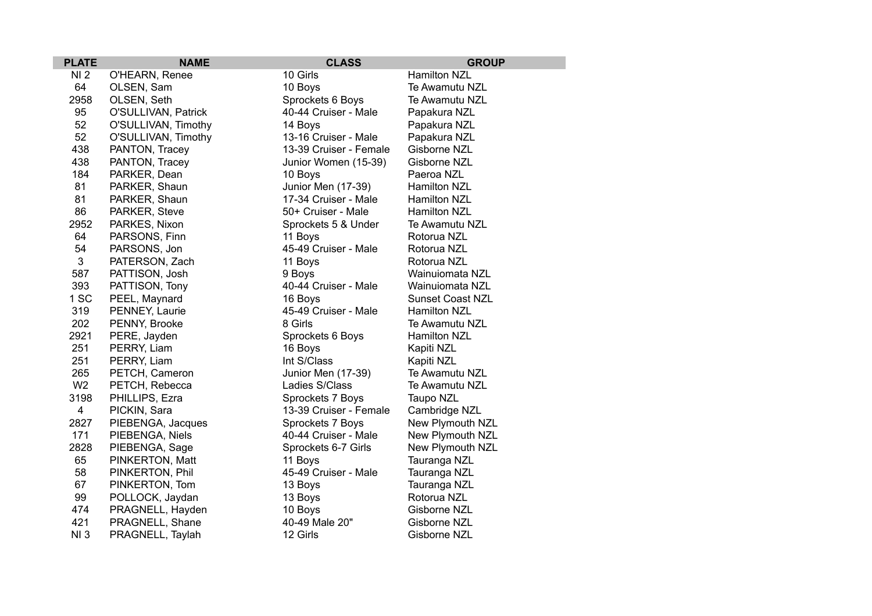| <b>PLATE</b>    | <b>NAME</b>         | <b>CLASS</b>           | <b>GROUP</b>            |
|-----------------|---------------------|------------------------|-------------------------|
| NI <sub>2</sub> | O'HEARN, Renee      | 10 Girls               | <b>Hamilton NZL</b>     |
| 64              | OLSEN, Sam          | 10 Boys                | Te Awamutu NZL          |
| 2958            | OLSEN, Seth         | Sprockets 6 Boys       | Te Awamutu NZL          |
| 95              | O'SULLIVAN, Patrick | 40-44 Cruiser - Male   | Papakura NZL            |
| 52              | O'SULLIVAN, Timothy | 14 Boys                | Papakura NZL            |
| 52              | O'SULLIVAN, Timothy | 13-16 Cruiser - Male   | Papakura NZL            |
| 438             | PANTON, Tracey      | 13-39 Cruiser - Female | Gisborne NZL            |
| 438             | PANTON, Tracey      | Junior Women (15-39)   | Gisborne NZL            |
| 184             | PARKER, Dean        | 10 Boys                | Paeroa NZL              |
| 81              | PARKER, Shaun       | Junior Men (17-39)     | Hamilton NZL            |
| 81              | PARKER, Shaun       | 17-34 Cruiser - Male   | Hamilton NZL            |
| 86              | PARKER, Steve       | 50+ Cruiser - Male     | <b>Hamilton NZL</b>     |
| 2952            | PARKES, Nixon       | Sprockets 5 & Under    | Te Awamutu NZL          |
| 64              | PARSONS, Finn       | 11 Boys                | Rotorua NZL             |
| 54              | PARSONS, Jon        | 45-49 Cruiser - Male   | Rotorua NZL             |
| 3               | PATERSON, Zach      | 11 Boys                | Rotorua NZL             |
| 587             | PATTISON, Josh      | 9 Boys                 | Wainuiomata NZL         |
| 393             | PATTISON, Tony      | 40-44 Cruiser - Male   | Wainuiomata NZL         |
| 1 SC            | PEEL, Maynard       | 16 Boys                | <b>Sunset Coast NZL</b> |
| 319             | PENNEY, Laurie      | 45-49 Cruiser - Male   | <b>Hamilton NZL</b>     |
| 202             | PENNY, Brooke       | 8 Girls                | Te Awamutu NZL          |
| 2921            | PERE, Jayden        | Sprockets 6 Boys       | <b>Hamilton NZL</b>     |
| 251             | PERRY, Liam         | 16 Boys                | Kapiti NZL              |
| 251             | PERRY, Liam         | Int S/Class            | Kapiti NZL              |
| 265             | PETCH, Cameron      | Junior Men (17-39)     | Te Awamutu NZL          |
| W <sub>2</sub>  | PETCH, Rebecca      | Ladies S/Class         | Te Awamutu NZL          |
| 3198            | PHILLIPS, Ezra      | Sprockets 7 Boys       | Taupo NZL               |
| $\overline{4}$  | PICKIN, Sara        | 13-39 Cruiser - Female | Cambridge NZL           |
| 2827            | PIEBENGA, Jacques   | Sprockets 7 Boys       | New Plymouth NZL        |
| 171             | PIEBENGA, Niels     | 40-44 Cruiser - Male   | New Plymouth NZL        |
| 2828            | PIEBENGA, Sage      | Sprockets 6-7 Girls    | New Plymouth NZL        |
| 65              | PINKERTON, Matt     | 11 Boys                | Tauranga NZL            |
| 58              | PINKERTON, Phil     | 45-49 Cruiser - Male   | Tauranga NZL            |
| 67              | PINKERTON, Tom      | 13 Boys                | Tauranga NZL            |
| 99              | POLLOCK, Jaydan     | 13 Boys                | Rotorua NZL             |
| 474             | PRAGNELL, Hayden    | 10 Boys                | Gisborne NZL            |
| 421             | PRAGNELL, Shane     | 40-49 Male 20"         | Gisborne NZL            |
| NI3             | PRAGNELL, Taylah    | 12 Girls               | Gisborne NZL            |
|                 |                     |                        |                         |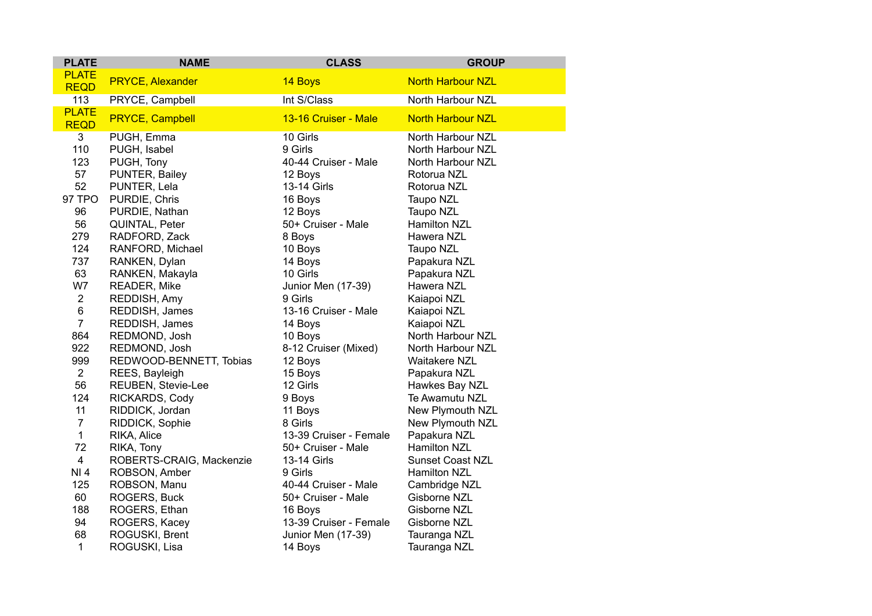| <b>PLATE</b>                | <b>NAME</b>              | <b>CLASS</b>           | <b>GROUP</b>             |
|-----------------------------|--------------------------|------------------------|--------------------------|
| <b>PLATE</b><br><b>REQD</b> | <b>PRYCE, Alexander</b>  | 14 Boys                | <b>North Harbour NZL</b> |
| 113                         | PRYCE, Campbell          | Int S/Class            | North Harbour NZL        |
| <b>PLATE</b><br><b>REQD</b> | <b>PRYCE, Campbell</b>   | 13-16 Cruiser - Male   | <b>North Harbour NZL</b> |
| 3                           | PUGH, Emma               | 10 Girls               | North Harbour NZL        |
| 110                         | PUGH, Isabel             | 9 Girls                | North Harbour NZL        |
| 123                         | PUGH, Tony               | 40-44 Cruiser - Male   | North Harbour NZL        |
| 57                          | PUNTER, Bailey           | 12 Boys                | Rotorua NZL              |
| 52                          | PUNTER, Lela             | 13-14 Girls            | Rotorua NZL              |
| 97 TPO                      | PURDIE, Chris            | 16 Boys                | Taupo NZL                |
| 96                          | PURDIE, Nathan           | 12 Boys                | Taupo NZL                |
| 56                          | QUINTAL, Peter           | 50+ Cruiser - Male     | Hamilton NZL             |
| 279                         | RADFORD, Zack            | 8 Boys                 | Hawera NZL               |
| 124                         | RANFORD, Michael         | 10 Boys                | Taupo NZL                |
| 737                         | RANKEN, Dylan            | 14 Boys                | Papakura NZL             |
| 63                          | RANKEN, Makayla          | 10 Girls               | Papakura NZL             |
| W7                          | READER, Mike             | Junior Men (17-39)     | Hawera NZL               |
| $\overline{2}$              | REDDISH, Amy             | 9 Girls                | Kaiapoi NZL              |
| $\,6$                       | REDDISH, James           | 13-16 Cruiser - Male   | Kaiapoi NZL              |
| $\overline{7}$              | REDDISH, James           | 14 Boys                | Kaiapoi NZL              |
| 864                         | REDMOND, Josh            | 10 Boys                | North Harbour NZL        |
| 922                         | REDMOND, Josh            | 8-12 Cruiser (Mixed)   | North Harbour NZL        |
| 999                         | REDWOOD-BENNETT, Tobias  | 12 Boys                | <b>Waitakere NZL</b>     |
| $\overline{2}$              | REES, Bayleigh           | 15 Boys                | Papakura NZL             |
| 56                          | REUBEN, Stevie-Lee       | 12 Girls               | Hawkes Bay NZL           |
| 124                         | RICKARDS, Cody           | 9 Boys                 | Te Awamutu NZL           |
| 11                          | RIDDICK, Jordan          | 11 Boys                | New Plymouth NZL         |
| $\overline{7}$              | RIDDICK, Sophie          | 8 Girls                | New Plymouth NZL         |
| 1                           | RIKA, Alice              | 13-39 Cruiser - Female | Papakura NZL             |
| 72                          | RIKA, Tony               | 50+ Cruiser - Male     | Hamilton NZL             |
| $\overline{\mathbf{4}}$     | ROBERTS-CRAIG, Mackenzie | 13-14 Girls            | <b>Sunset Coast NZL</b>  |
| NI 4                        | ROBSON, Amber            | 9 Girls                | Hamilton NZL             |
| 125                         | ROBSON, Manu             | 40-44 Cruiser - Male   | Cambridge NZL            |
| 60                          | ROGERS, Buck             | 50+ Cruiser - Male     | Gisborne NZL             |
| 188                         | ROGERS, Ethan            | 16 Boys                | Gisborne NZL             |
| 94                          | ROGERS, Kacey            | 13-39 Cruiser - Female | Gisborne NZL             |
| 68                          | ROGUSKI, Brent           | Junior Men (17-39)     | Tauranga NZL             |
| 1                           | ROGUSKI, Lisa            | 14 Boys                | Tauranga NZL             |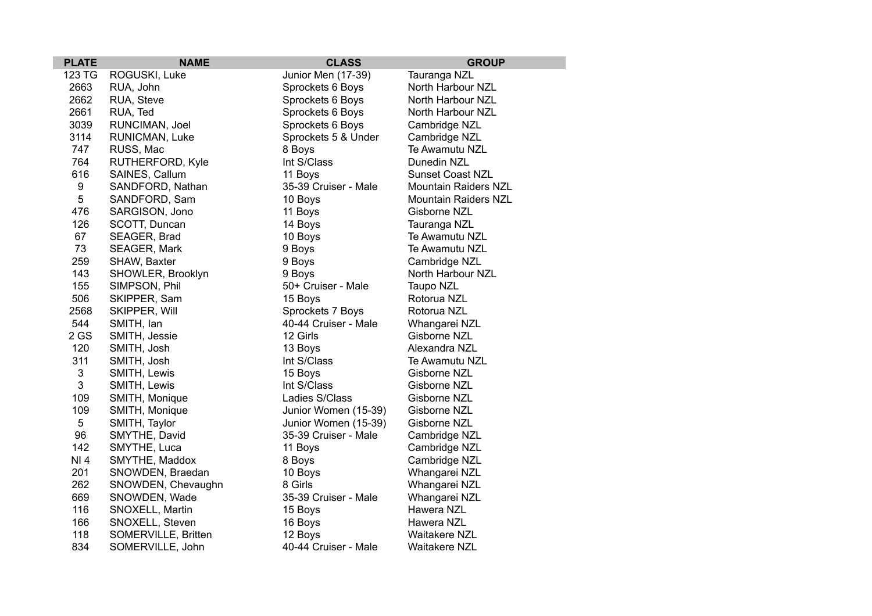| <b>PLATE</b>     | <b>NAME</b>         | <b>CLASS</b>         | <b>GROUP</b>                |
|------------------|---------------------|----------------------|-----------------------------|
| 123 TG           | ROGUSKI, Luke       | Junior Men (17-39)   | Tauranga NZL                |
| 2663             | RUA, John           | Sprockets 6 Boys     | North Harbour NZL           |
| 2662             | RUA, Steve          | Sprockets 6 Boys     | North Harbour NZL           |
| 2661             | RUA, Ted            | Sprockets 6 Boys     | North Harbour NZL           |
| 3039             | RUNCIMAN, Joel      | Sprockets 6 Boys     | Cambridge NZL               |
| 3114             | RUNICMAN, Luke      | Sprockets 5 & Under  | Cambridge NZL               |
| 747              | RUSS, Mac           | 8 Boys               | Te Awamutu NZL              |
| 764              | RUTHERFORD, Kyle    | Int S/Class          | Dunedin NZL                 |
| 616              | SAINES, Callum      | 11 Boys              | <b>Sunset Coast NZL</b>     |
| $\boldsymbol{9}$ | SANDFORD, Nathan    | 35-39 Cruiser - Male | <b>Mountain Raiders NZL</b> |
| 5                | SANDFORD, Sam       | 10 Boys              | <b>Mountain Raiders NZL</b> |
| 476              | SARGISON, Jono      | 11 Boys              | Gisborne NZL                |
| 126              | SCOTT, Duncan       | 14 Boys              | Tauranga NZL                |
| 67               | SEAGER, Brad        | 10 Boys              | Te Awamutu NZL              |
| 73               | SEAGER, Mark        | 9 Boys               | Te Awamutu NZL              |
| 259              | SHAW, Baxter        | 9 Boys               | Cambridge NZL               |
| 143              | SHOWLER, Brooklyn   | 9 Boys               | North Harbour NZL           |
| 155              | SIMPSON, Phil       | 50+ Cruiser - Male   | Taupo NZL                   |
| 506              | SKIPPER, Sam        | 15 Boys              | Rotorua NZL                 |
| 2568             | SKIPPER, Will       | Sprockets 7 Boys     | Rotorua NZL                 |
| 544              | SMITH, Ian          | 40-44 Cruiser - Male | Whangarei NZL               |
| 2GS              | SMITH, Jessie       | 12 Girls             | Gisborne NZL                |
| 120              | SMITH, Josh         | 13 Boys              | Alexandra NZL               |
| 311              | SMITH, Josh         | Int S/Class          | Te Awamutu NZL              |
| 3                | SMITH, Lewis        | 15 Boys              | Gisborne NZL                |
| 3                | SMITH, Lewis        | Int S/Class          | Gisborne NZL                |
| 109              | SMITH, Monique      | Ladies S/Class       | Gisborne NZL                |
| 109              | SMITH, Monique      | Junior Women (15-39) | Gisborne NZL                |
| 5                | SMITH, Taylor       | Junior Women (15-39) | Gisborne NZL                |
| 96               | SMYTHE, David       | 35-39 Cruiser - Male | Cambridge NZL               |
| 142              | SMYTHE, Luca        | 11 Boys              | Cambridge NZL               |
| NI 4             | SMYTHE, Maddox      | 8 Boys               | Cambridge NZL               |
| 201              | SNOWDEN, Braedan    | 10 Boys              | Whangarei NZL               |
| 262              | SNOWDEN, Chevaughn  | 8 Girls              | Whangarei NZL               |
| 669              | SNOWDEN, Wade       | 35-39 Cruiser - Male | Whangarei NZL               |
| 116              | SNOXELL, Martin     | 15 Boys              | Hawera NZL                  |
| 166              | SNOXELL, Steven     | 16 Boys              | Hawera NZL                  |
| 118              | SOMERVILLE, Britten | 12 Boys              | <b>Waitakere NZL</b>        |
| 834              | SOMERVILLE, John    | 40-44 Cruiser - Male | <b>Waitakere NZL</b>        |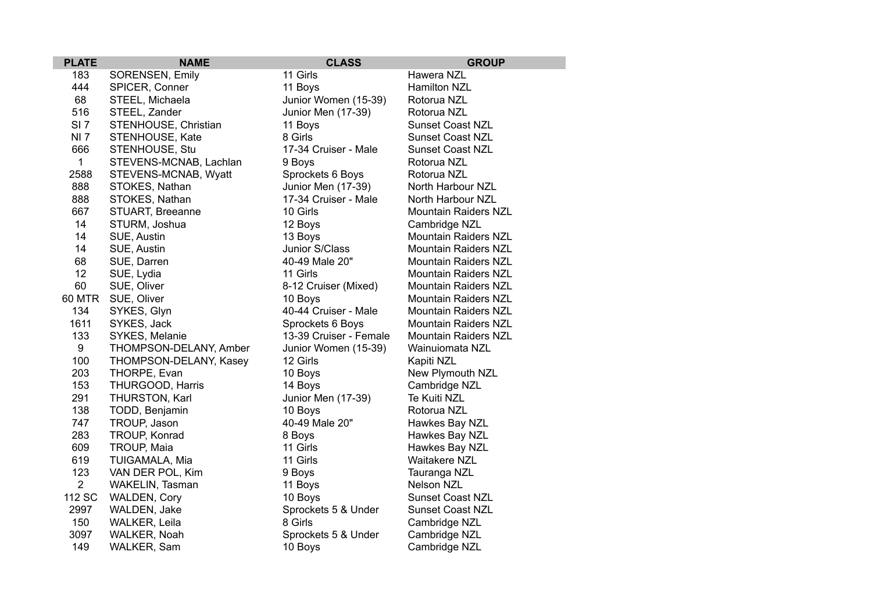| <b>PLATE</b>    | <b>NAME</b>            | <b>CLASS</b>           | <b>GROUP</b>                |
|-----------------|------------------------|------------------------|-----------------------------|
| 183             | SORENSEN, Emily        | 11 Girls               | Hawera NZL                  |
| 444             | SPICER, Conner         | 11 Boys                | Hamilton NZL                |
| 68              | STEEL, Michaela        | Junior Women (15-39)   | Rotorua NZL                 |
| 516             | STEEL, Zander          | Junior Men (17-39)     | Rotorua NZL                 |
| SI <sub>7</sub> | STENHOUSE, Christian   | 11 Boys                | <b>Sunset Coast NZL</b>     |
| <b>NI7</b>      | STENHOUSE, Kate        | 8 Girls                | <b>Sunset Coast NZL</b>     |
| 666             | STENHOUSE, Stu         | 17-34 Cruiser - Male   | <b>Sunset Coast NZL</b>     |
| $\mathbf{1}$    | STEVENS-MCNAB, Lachlan | 9 Boys                 | Rotorua NZL                 |
| 2588            | STEVENS-MCNAB, Wyatt   | Sprockets 6 Boys       | Rotorua NZL                 |
| 888             | STOKES, Nathan         | Junior Men (17-39)     | North Harbour NZL           |
| 888             | STOKES, Nathan         | 17-34 Cruiser - Male   | North Harbour NZL           |
| 667             | STUART, Breeanne       | 10 Girls               | <b>Mountain Raiders NZL</b> |
| 14              | STURM, Joshua          | 12 Boys                | Cambridge NZL               |
| 14              | SUE, Austin            | 13 Boys                | <b>Mountain Raiders NZL</b> |
| 14              | SUE, Austin            | Junior S/Class         | <b>Mountain Raiders NZL</b> |
| 68              | SUE, Darren            | 40-49 Male 20"         | <b>Mountain Raiders NZL</b> |
| 12              | SUE, Lydia             | 11 Girls               | <b>Mountain Raiders NZL</b> |
| 60              | SUE, Oliver            | 8-12 Cruiser (Mixed)   | <b>Mountain Raiders NZL</b> |
| <b>60 MTR</b>   | SUE, Oliver            | 10 Boys                | Mountain Raiders NZL        |
| 134             | SYKES, Glyn            | 40-44 Cruiser - Male   | Mountain Raiders NZL        |
| 1611            | SYKES, Jack            | Sprockets 6 Boys       | <b>Mountain Raiders NZL</b> |
| 133             | SYKES, Melanie         | 13-39 Cruiser - Female | <b>Mountain Raiders NZL</b> |
| 9               | THOMPSON-DELANY, Amber | Junior Women (15-39)   | Wainuiomata NZL             |
| 100             | THOMPSON-DELANY, Kasey | 12 Girls               | Kapiti NZL                  |
| 203             | THORPE, Evan           | 10 Boys                | New Plymouth NZL            |
| 153             | THURGOOD, Harris       | 14 Boys                | Cambridge NZL               |
| 291             | THURSTON, Karl         | Junior Men (17-39)     | Te Kuiti NZL                |
| 138             | TODD, Benjamin         | 10 Boys                | Rotorua NZL                 |
| 747             | TROUP, Jason           | 40-49 Male 20"         | Hawkes Bay NZL              |
| 283             | TROUP, Konrad          | 8 Boys                 | Hawkes Bay NZL              |
| 609             | TROUP, Maia            | 11 Girls               | Hawkes Bay NZL              |
| 619             | TUIGAMALA, Mia         | 11 Girls               | <b>Waitakere NZL</b>        |
| 123             | VAN DER POL, Kim       | 9 Boys                 | Tauranga NZL                |
| $\overline{2}$  | WAKELIN, Tasman        | 11 Boys                | <b>Nelson NZL</b>           |
| 112 SC          | <b>WALDEN, Cory</b>    | 10 Boys                | <b>Sunset Coast NZL</b>     |
| 2997            | WALDEN, Jake           | Sprockets 5 & Under    | <b>Sunset Coast NZL</b>     |
| 150             | WALKER, Leila          | 8 Girls                | Cambridge NZL               |
| 3097            | WALKER, Noah           | Sprockets 5 & Under    | Cambridge NZL               |
| 149             | WALKER, Sam            | 10 Boys                | Cambridge NZL               |